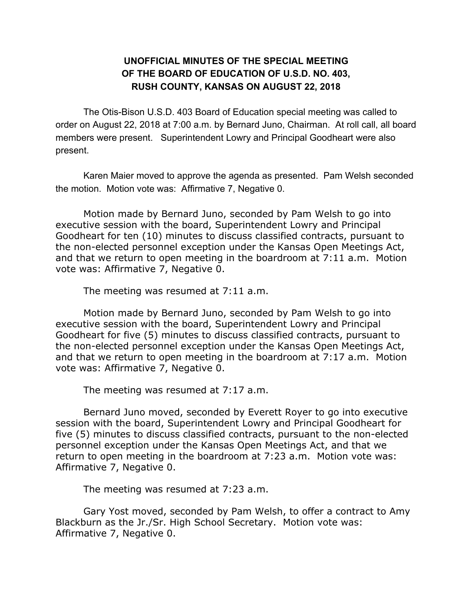## **UNOFFICIAL MINUTES OF THE SPECIAL MEETING OF THE BOARD OF EDUCATION OF U.S.D. NO. 403, RUSH COUNTY, KANSAS ON AUGUST 22, 2018**

The Otis-Bison U.S.D. 403 Board of Education special meeting was called to order on August 22, 2018 at 7:00 a.m. by Bernard Juno, Chairman. At roll call, all board members were present. Superintendent Lowry and Principal Goodheart were also present.

Karen Maier moved to approve the agenda as presented. Pam Welsh seconded the motion. Motion vote was: Affirmative 7, Negative 0.

Motion made by Bernard Juno, seconded by Pam Welsh to go into executive session with the board, Superintendent Lowry and Principal Goodheart for ten (10) minutes to discuss classified contracts, pursuant to the non-elected personnel exception under the Kansas Open Meetings Act, and that we return to open meeting in the boardroom at 7:11 a.m. Motion vote was: Affirmative 7, Negative 0.

The meeting was resumed at 7:11 a.m.

Motion made by Bernard Juno, seconded by Pam Welsh to go into executive session with the board, Superintendent Lowry and Principal Goodheart for five (5) minutes to discuss classified contracts, pursuant to the non-elected personnel exception under the Kansas Open Meetings Act, and that we return to open meeting in the boardroom at 7:17 a.m. Motion vote was: Affirmative 7, Negative 0.

The meeting was resumed at 7:17 a.m.

Bernard Juno moved, seconded by Everett Royer to go into executive session with the board, Superintendent Lowry and Principal Goodheart for five (5) minutes to discuss classified contracts, pursuant to the non-elected personnel exception under the Kansas Open Meetings Act, and that we return to open meeting in the boardroom at 7:23 a.m. Motion vote was: Affirmative 7, Negative 0.

The meeting was resumed at 7:23 a.m.

Gary Yost moved, seconded by Pam Welsh, to offer a contract to Amy Blackburn as the Jr./Sr. High School Secretary. Motion vote was: Affirmative 7, Negative 0.